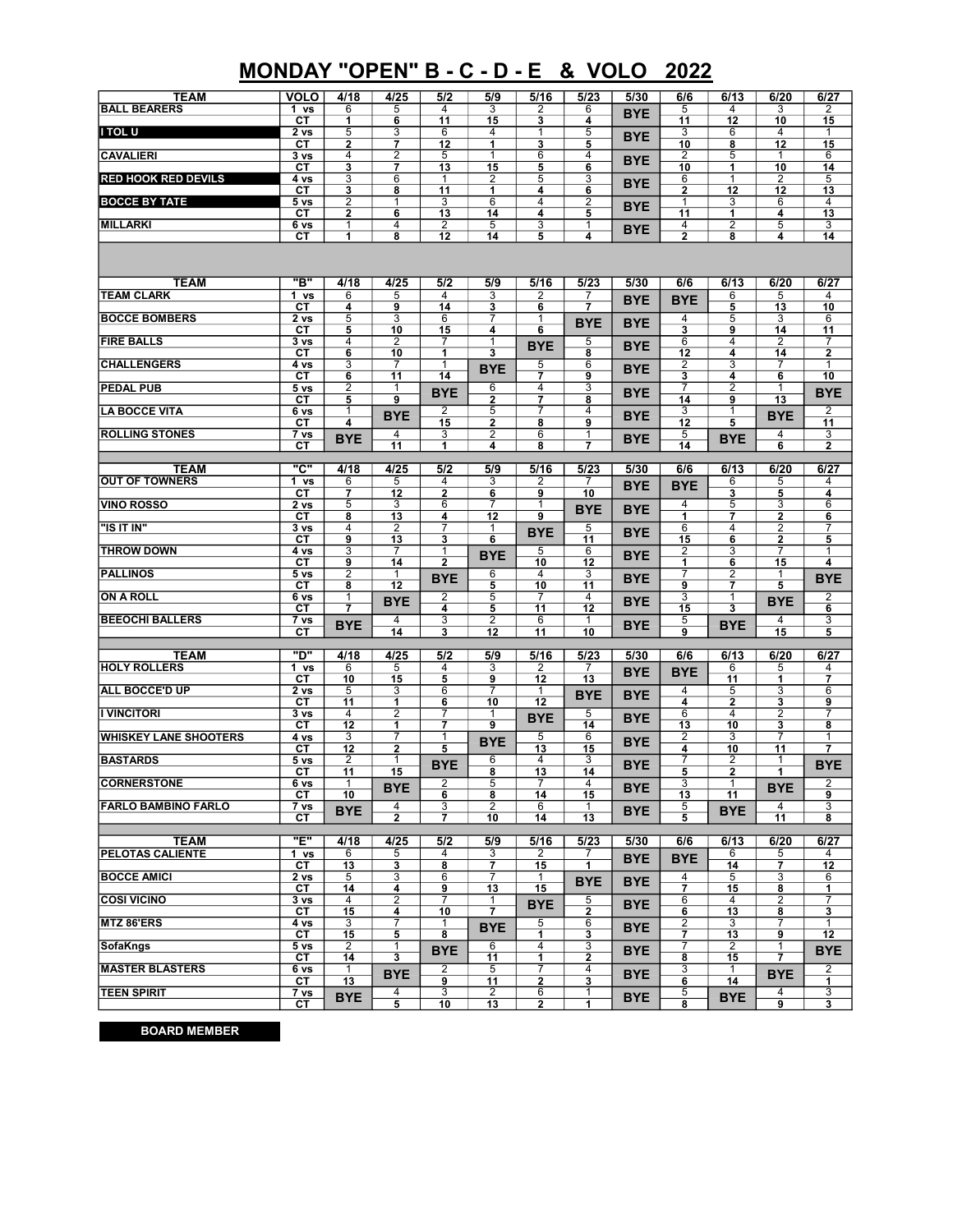## MONDAY "OPEN" B - C - D - E & VOLO 2022

| <b>TEAM</b><br><b>BALL BEARERS</b> | <b>VOLO</b><br>1 vs                                                                      | 4/18<br>6           | 4/25<br>5                    | 5/2<br>4             | 5/9<br>3                                  | 5/16<br>2               | 5/23<br>6                    | 5/30       | 6/6<br>5                     | 6/13<br>4            | 6/20<br>3                                 | 6/27<br>2                               |
|------------------------------------|------------------------------------------------------------------------------------------|---------------------|------------------------------|----------------------|-------------------------------------------|-------------------------|------------------------------|------------|------------------------------|----------------------|-------------------------------------------|-----------------------------------------|
|                                    | СT                                                                                       | 1                   | 6                            | 11                   | 15                                        | 3                       | 4                            | <b>BYE</b> | 11                           | 12                   | 10                                        | 15                                      |
| I TOL U                            | 2 <sub>vs</sub><br>CТ                                                                    | 5<br>$\overline{2}$ | 3<br>$\overline{\mathbf{z}}$ | 6<br>$\overline{12}$ | 4<br>$\overline{\mathbf{1}}$              | 1<br>3                  | 5<br>5                       | <b>BYE</b> | 3<br>10                      | 6<br>8               | 4<br>$\overline{12}$                      | 1<br>15                                 |
| <b>CAVALIERI</b>                   | 3 <sub>vs</sub>                                                                          | $\overline{4}$      | $\overline{2}$               | $\overline{5}$       | $\overline{1}$                            | $\overline{6}$          | $\overline{4}$               | <b>BYE</b> | $\overline{2}$               | $\overline{5}$       | $\overline{1}$                            | 6                                       |
| <b>RED HOOK RED DEVILS</b>         | СT<br>4 vs                                                                               | 3<br>3              | $\overline{7}$<br>6          | 13<br>1              | 15<br>2                                   | 5<br>5                  | $\overline{\mathbf{6}}$<br>3 |            | 10<br>6                      | 1<br>1               | 10<br>2                                   | 14<br>5                                 |
|                                    | СT                                                                                       | 3<br>$\overline{2}$ | 8<br>1                       | 11<br>3              | 1<br>6                                    | 4<br>4                  | 6<br>2                       | <b>BYE</b> | 2<br>$\overline{1}$          | 12<br>3              | 12<br>6                                   | 13<br>4                                 |
| <b>BOCCE BY TATE</b>               | 5 <sub>vs</sub><br>CТ                                                                    | $\mathbf{2}$        | $6\overline{6}$              | 13                   | 14                                        | 4                       | 5                            | <b>BYE</b> | 11                           | 1                    | 4                                         | 13                                      |
| <b>MILLARKI</b>                    | 6 vs<br>CТ                                                                               | 1<br>1              | 4<br>8                       | $\overline{2}$<br>12 | 5<br>14                                   | 3<br>5                  | 1<br>4                       | <b>BYE</b> | 4<br>$\overline{2}$          | 2<br>8               | 5<br>4                                    | 3<br>14                                 |
|                                    |                                                                                          |                     |                              |                      |                                           |                         |                              |            |                              |                      |                                           |                                         |
|                                    |                                                                                          |                     |                              |                      |                                           |                         |                              |            |                              |                      |                                           |                                         |
| <b>TEAM</b><br><b>TEAM CLARK</b>   | "B"<br>1 vs                                                                              | 4/18<br>6           | 4/25<br>5                    | 5/2<br>4             | 5/9<br>3                                  | 5/16<br>2               | 5/23<br>7                    | 5/30       | 6/6                          | 6/13<br>6            | 6/20<br>5                                 | 6/27<br>4                               |
|                                    | СT                                                                                       | 4                   | 9                            | 14                   | 3                                         | 6                       | 7                            | <b>BYE</b> | <b>BYE</b>                   | 5                    | 13                                        | 10                                      |
| <b>BOCCE BOMBERS</b>               | 2 vs<br>CТ                                                                               | 5<br>5              | 3<br>10                      | 6<br>15              | 7<br>4                                    | 1<br>6                  | <b>BYE</b>                   | <b>BYE</b> | 4<br>$\overline{\mathbf{3}}$ | 5<br>9               | 3<br>14                                   | 6<br>11                                 |
| <b>FIRE BALLS</b>                  | $\overline{3}$ vs                                                                        | $\overline{4}$      | $\overline{2}$               | 7                    | $\overline{1}$                            | <b>BYE</b>              | 5                            | <b>BYE</b> | $\overline{6}$               | 4                    | $\overline{2}$                            | 7                                       |
| <b>CHALLENGERS</b>                 | CТ<br>4 vs                                                                               | 6<br>3              | 10<br>7                      | 1<br>1               | 3                                         | 5                       | 8<br>6                       |            | 12<br>$\overline{2}$         | 4<br>3               | 14<br>7                                   | $\overline{\mathbf{2}}$<br>$\mathbf{1}$ |
|                                    | CТ                                                                                       | 6                   | 11                           | 14                   | <b>BYE</b>                                | 7                       | 9                            | <b>BYE</b> | 3                            | 4                    | 6                                         | 10                                      |
| <b>PEDAL PUB</b>                   | 5 <sub>vs</sub><br>CТ                                                                    | 2<br>5              | 1<br>9                       | <b>BYE</b>           | 6<br>$\mathbf{2}$                         | 4<br>$\overline{7}$     | 3<br>8                       | <b>BYE</b> | 7<br>14                      | 2<br>9               | $\mathbf{1}$<br>13                        | <b>BYE</b>                              |
| <b>LA BOCCE VITA</b>               | 6 vs                                                                                     | 1                   | <b>BYE</b>                   | 2                    | 5                                         |                         | 4                            | <b>BYE</b> | 3                            | 1                    | <b>BYE</b>                                | 2                                       |
| <b>ROLLING STONES</b>              | CТ<br>$\overline{7}$ vs                                                                  | 4                   | 4                            | 15<br>3              | $\overline{\mathbf{2}}$<br>$\overline{2}$ | 8<br>6                  | 9<br>1                       |            | 12<br>5                      | 5                    | 4                                         | 11<br>3                                 |
|                                    | CТ                                                                                       | <b>BYE</b>          | 11                           | 1                    | 4                                         | 8                       | 7                            | <b>BYE</b> | 14                           | <b>BYE</b>           | 6                                         | $\mathbf{2}$                            |
| <b>TEAM</b>                        | "C"<br>4/18<br>4/25<br>5/9<br>5/16<br>5/30<br>6/13<br>6/20<br>6/27<br>5/2<br>5/23<br>6/6 |                     |                              |                      |                                           |                         |                              |            |                              |                      |                                           |                                         |
| <b>OUT OF TOWNERS</b>              | $\overline{1}$ vs                                                                        | 6                   | $\overline{5}$               | 4                    | 3                                         | $\overline{2}$          | $\overline{7}$               | <b>BYE</b> | <b>BYE</b>                   | 6                    | 5                                         | 4                                       |
| <b>VINO ROSSO</b>                  | CТ<br>2 <sub>vs</sub>                                                                    | 7<br>5              | 12<br>3                      | $\mathbf{2}$<br>6    | 6<br>7                                    | 9<br>1                  | 10                           |            | 4                            | 3<br>5               | 5<br>3                                    | 4<br>6                                  |
|                                    | CТ                                                                                       | 8                   | 13                           | 4                    | 12                                        | 9                       | <b>BYE</b>                   | <b>BYE</b> | 1                            | 7                    | $\mathbf 2$                               | 6                                       |
| "IS IT IN"                         | 3 <sub>vs</sub><br>CТ                                                                    | 4<br>9              | $\overline{2}$<br>13         | 7<br>3               | 1<br>6                                    | <b>BYE</b>              | 5<br>11                      | <b>BYE</b> | 6<br>15                      | 4<br>6               | $\overline{2}$<br>$\overline{\mathbf{2}}$ | 7<br>5                                  |
| <b>THROW DOWN</b>                  | 4 vs                                                                                     | 3                   | 7                            | 1                    | <b>BYE</b>                                | 5                       | 6                            | <b>BYE</b> | 2                            | 3                    | $\overline{7}$                            | $\mathbf{1}$                            |
| <b>PALLINOS</b>                    | CТ<br>5 <sub>vs</sub>                                                                    | 9<br>2              | 14<br>1                      | 2                    | 6                                         | 10<br>4                 | 12<br>3                      |            | 1<br>7                       | 6<br>2               | 15<br>1                                   | 4                                       |
|                                    | CТ                                                                                       | 8                   | 12                           | <b>BYE</b>           | 5                                         | 10                      | 11                           | <b>BYE</b> | 9                            | 7                    | 5                                         | <b>BYE</b>                              |
| <b>ON A ROLL</b>                   | 6 vs<br>CТ                                                                               | 1<br>7              | <b>BYE</b>                   | 2<br>4               | 5<br>5                                    | 11                      | 4<br>12                      | <b>BYE</b> | 3<br>15                      | 1<br>3               | <b>BYE</b>                                | 2<br>$6\phantom{1}$                     |
| <b>BEEOCHI BALLERS</b>             | 7 vs                                                                                     | <b>BYE</b>          | 4                            | 3                    | 2                                         | 6                       | $\mathbf{1}$                 | <b>BYE</b> | 5                            | <b>BYE</b>           | 4                                         | 3                                       |
|                                    | CТ                                                                                       |                     | 14                           | 3                    | 12                                        | 11                      | 10                           |            | 9                            |                      | 15                                        | 5                                       |
| <b>TEAM</b>                        | "ם"                                                                                      | 4/18                | 4/25                         | 5/2                  | 5/9                                       | 5/16                    | 5/23                         | 5/30       | 6/6                          | 6/13                 | 6/20                                      | 6/27                                    |
| <b>HOLY ROLLERS</b>                | $\overline{1}$ vs<br>CТ                                                                  | 6<br>10             | 5<br>15                      | 4<br>5               | 3<br>9                                    | 2<br>12                 | 7<br>13                      | <b>BYE</b> | <b>BYE</b>                   | 6<br>11              | 5<br>1                                    | 4<br>$\overline{\phantom{a}}$           |
| <b>ALL BOCCE'D UP</b>              | 2 vs                                                                                     | 5                   | 3                            | 6                    | 7                                         | 1                       | <b>BYE</b>                   | <b>BYE</b> | 4                            | 5                    | 3                                         | 6                                       |
| <b>I VINCITORI</b>                 | CТ<br>$\overline{3 \text{ vs}}$                                                          | 11<br>4             | 1<br>$\overline{2}$          | 6<br>7               | 10<br>1                                   | 12<br><b>BYE</b>        | 5                            | BYE.       | 4<br>6                       | 2<br>4               | 3<br>2                                    | 9<br>7                                  |
| <b>WHISKEY LANE SHOOTERS</b>       | CТ                                                                                       | $\overline{12}$     | 1                            | 7                    | 9                                         |                         | 14                           |            | 13                           | 10                   | 3                                         | 8                                       |
|                                    | 4 vs<br>CТ                                                                               | 3<br>12             | 7<br>$\mathbf{2}$            | 1<br>5               | <b>BYE</b>                                | 5<br>13                 | 6<br>15                      | <b>BYE</b> | 2<br>4                       | 3<br>10              | 7<br>11                                   | $\mathbf{1}$<br>7                       |
| <b>BASTARDS</b>                    | 5 <sub>vs</sub>                                                                          | 2<br>11             | 1<br>15                      | <b>BYE</b>           | 6                                         | 4<br>$\overline{13}$    | 3<br>14                      | <b>BYE</b> | 7<br>5                       | 2<br>2               | 1<br>1                                    | <b>BYE</b>                              |
| <b>CORNERSTONE</b>                 | CТ<br>6 vs                                                                               | 1                   | <b>BYE</b>                   | 2                    | 8<br>$\overline{5}$                       |                         | 4                            |            | 3                            |                      | <b>BYE</b>                                | 2                                       |
| <b>FARLO BAMBINO FARLO</b>         | CT<br>7 vs                                                                               | 10                  | 4                            | 6<br>3               | 8<br>2                                    | 14<br>6                 | 15<br>1                      | BYE        | 13<br>5                      | 11                   | 4                                         | $\overline{9}$<br>3                     |
|                                    | СT                                                                                       | <b>BYE</b>          | $\mathbf{2}$                 | 7                    | 10                                        | 14                      | 13                           | <b>BYE</b> | 5                            | <b>BYE</b>           | 11                                        | 8                                       |
| <b>TEAM</b>                        | "E"                                                                                      | 4/18                | 4/25                         | 5/2                  | 5/9                                       | 5/16                    | 5/23                         | 5/30       | 6/6                          | 6/13                 | 6/20                                      | 6/27                                    |
| PELOTAS CALIENTE                   | 1 vs                                                                                     | 6                   | 5                            | 4                    | 3                                         | 2                       | 7                            | <b>BYE</b> | <b>BYE</b>                   | 6                    | 5                                         | 4                                       |
| <b>BOCCE AMICI</b>                 | СT<br>2 <sub>vs</sub>                                                                    | 13<br>5             | 3<br>3                       | 8<br>6               | $\overline{7}$<br>7                       | 15<br>1                 | $\overline{1}$               |            | 4                            | 14<br>5              | $\overline{7}$<br>3                       | 12<br>6                                 |
|                                    | СT                                                                                       | 14                  | 4                            | 9                    | 13                                        | 15                      | <b>BYE</b>                   | <b>BYE</b> | $\overline{\mathbf{7}}$      | 15                   | 8                                         | 1                                       |
| <b>COSI VICINO</b>                 | 3 <sub>vs</sub><br>CТ                                                                    | 4<br>15             | $\overline{2}$<br>4          | 7<br>10              | 1<br>$\overline{\mathbf{7}}$              | BYE                     | 5<br>$\overline{\mathbf{2}}$ | <b>BYE</b> | 6<br>6                       | 4<br>$\overline{13}$ | 2<br>8                                    | 7<br>$\overline{\mathbf{3}}$            |
| MTZ 86'ERS                         | 4 vs                                                                                     | 3                   | 7                            | 1                    | <b>BYE</b>                                | 5                       | 6                            | <b>BYE</b> | 2                            | 3                    | 7                                         | $\mathbf{1}$                            |
| SofaKngs                           | CТ<br>5 <sub>vs</sub>                                                                    | 15<br>2             | 5<br>1                       | 8                    | 6                                         | 1<br>4                  | 3<br>3                       |            | 7<br>7                       | 13<br>2              | 9<br>$\mathbf{1}$                         | 12                                      |
| <b>MASTER BLASTERS</b>             | CТ                                                                                       | 14                  | 3                            | <b>BYE</b>           | 11                                        | 1                       | 2                            | BYE.       | 8                            | 15                   | 7                                         | <b>BYE</b>                              |
|                                    | 6 vs<br>СT                                                                               | 1<br>13             | <b>BYE</b>                   | 2<br>9               | 5<br>11                                   | $\overline{\mathbf{c}}$ | 4<br>3                       | <b>BYE</b> | 3<br>6                       | 1<br>14              | <b>BYE</b>                                | 2<br>1                                  |
| <b>TEEN SPIRIT</b>                 | 7 vs<br>CТ                                                                               | <b>BYE</b>          | 4<br>5                       | 3<br>10              | 2<br>13                                   | 6<br>2                  | 1<br>1                       | <b>BYE</b> | 5<br>8                       | <b>BYE</b>           | 4<br>9                                    | 3<br>3                                  |

BOARD MEMBER